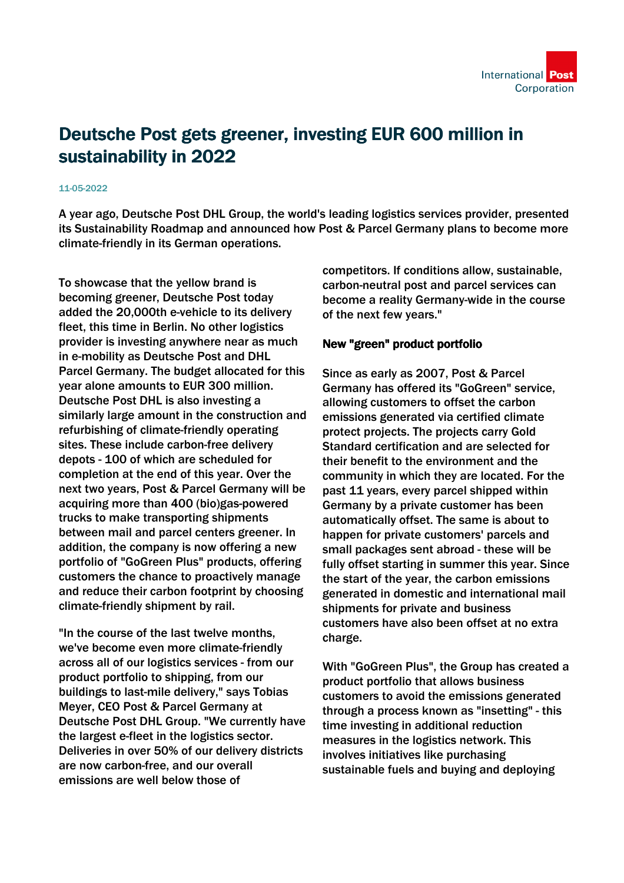

# Deutsche Post gets greener, investing EUR 600 million in sustainability in 2022

#### 11-05-2022

A year ago, Deutsche Post DHL Group, the world's leading logistics services provider, presented its Sustainability Roadmap and announced how Post & Parcel Germany plans to become more climate-friendly in its German operations.

To showcase that the yellow brand is becoming greener, Deutsche Post today added the 20,000th e-vehicle to its delivery fleet, this time in Berlin. No other logistics provider is investing anywhere near as much in e-mobility as Deutsche Post and DHL Parcel Germany. The budget allocated for this year alone amounts to EUR 300 million. Deutsche Post DHL is also investing a similarly large amount in the construction and refurbishing of climate-friendly operating sites. These include carbon-free delivery depots - 100 of which are scheduled for completion at the end of this year. Over the next two years, Post & Parcel Germany will be acquiring more than 400 (bio)gas-powered trucks to make transporting shipments between mail and parcel centers greener. In addition, the company is now offering a new portfolio of "GoGreen Plus" products, offering customers the chance to proactively manage and reduce their carbon footprint by choosing climate-friendly shipment by rail.

"In the course of the last twelve months, we've become even more climate-friendly across all of our logistics services - from our product portfolio to shipping, from our buildings to last-mile delivery," says Tobias Meyer, CEO Post & Parcel Germany at Deutsche Post DHL Group. "We currently have the largest e-fleet in the logistics sector. Deliveries in over 50% of our delivery districts are now carbon-free, and our overall emissions are well below those of

competitors. If conditions allow, sustainable, carbon-neutral post and parcel services can become a reality Germany-wide in the course of the next few years."

#### New "green" product portfolio

Since as early as 2007, Post & Parcel Germany has offered its "GoGreen" service, allowing customers to offset the carbon emissions generated via certified climate protect projects. The projects carry Gold Standard certification and are selected for their benefit to the environment and the community in which they are located. For the past 11 years, every parcel shipped within Germany by a private customer has been automatically offset. The same is about to happen for private customers' parcels and small packages sent abroad - these will be fully offset starting in summer this year. Since the start of the year, the carbon emissions generated in domestic and international mail shipments for private and business customers have also been offset at no extra charge.

With "GoGreen Plus", the Group has created a product portfolio that allows business customers to avoid the emissions generated through a process known as "insetting" - this time investing in additional reduction measures in the logistics network. This involves initiatives like purchasing sustainable fuels and buying and deploying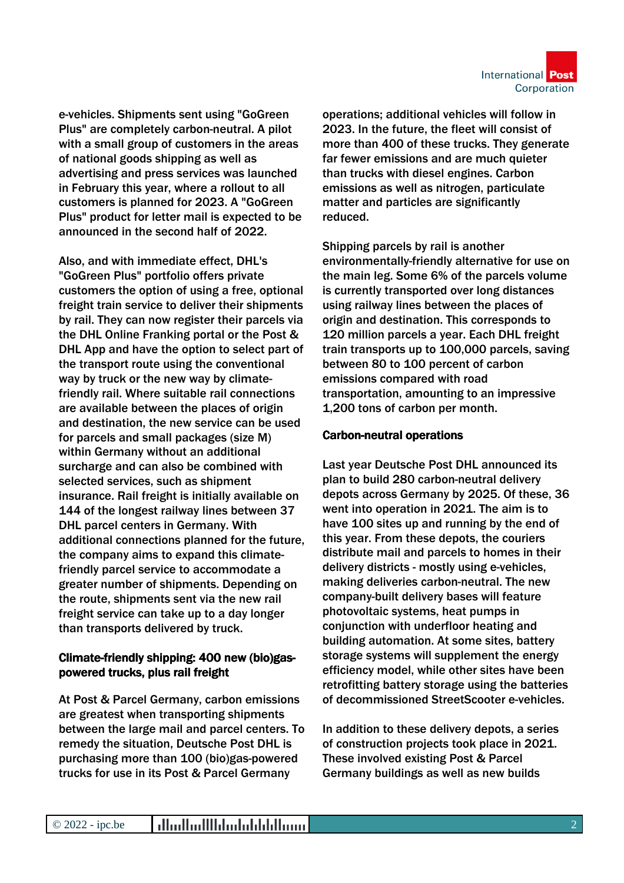

e-vehicles. Shipments sent using "GoGreen Plus" are completely carbon-neutral. A pilot with a small group of customers in the areas of national goods shipping as well as advertising and press services was launched in February this year, where a rollout to all customers is planned for 2023. A "GoGreen Plus" product for letter mail is expected to be announced in the second half of 2022.

Also, and with immediate effect, DHL's "GoGreen Plus" portfolio offers private customers the option of using a free, optional freight train service to deliver their shipments by rail. They can now register their parcels via the DHL Online Franking portal or the Post & DHL App and have the option to select part of the transport route using the conventional way by truck or the new way by climatefriendly rail. Where suitable rail connections are available between the places of origin and destination, the new service can be used for parcels and small packages (size M) within Germany without an additional surcharge and can also be combined with selected services, such as shipment insurance. Rail freight is initially available on 144 of the longest railway lines between 37 DHL parcel centers in Germany. With additional connections planned for the future, the company aims to expand this climatefriendly parcel service to accommodate a greater number of shipments. Depending on the route, shipments sent via the new rail freight service can take up to a day longer than transports delivered by truck.

# Climate-friendly shipping: 400 new (bio)gaspowered trucks, plus rail freight

At Post & Parcel Germany, carbon emissions are greatest when transporting shipments between the large mail and parcel centers. To remedy the situation, Deutsche Post DHL is purchasing more than 100 (bio)gas-powered trucks for use in its Post & Parcel Germany

operations; additional vehicles will follow in 2023. In the future, the fleet will consist of more than 400 of these trucks. They generate far fewer emissions and are much quieter than trucks with diesel engines. Carbon emissions as well as nitrogen, particulate matter and particles are significantly reduced.

Shipping parcels by rail is another environmentally-friendly alternative for use on the main leg. Some 6% of the parcels volume is currently transported over long distances using railway lines between the places of origin and destination. This corresponds to 120 million parcels a year. Each DHL freight train transports up to 100,000 parcels, saving between 80 to 100 percent of carbon emissions compared with road transportation, amounting to an impressive 1,200 tons of carbon per month.

### Carbon-neutral operations

Last year Deutsche Post DHL announced its plan to build 280 carbon-neutral delivery depots across Germany by 2025. Of these, 36 went into operation in 2021. The aim is to have 100 sites up and running by the end of this year. From these depots, the couriers distribute mail and parcels to homes in their delivery districts - mostly using e-vehicles, making deliveries carbon-neutral. The new company-built delivery bases will feature photovoltaic systems, heat pumps in conjunction with underfloor heating and building automation. At some sites, battery storage systems will supplement the energy efficiency model, while other sites have been retrofitting battery storage using the batteries of decommissioned StreetScooter e-vehicles.

In addition to these delivery depots, a series of construction projects took place in 2021. These involved existing Post & Parcel Germany buildings as well as new builds